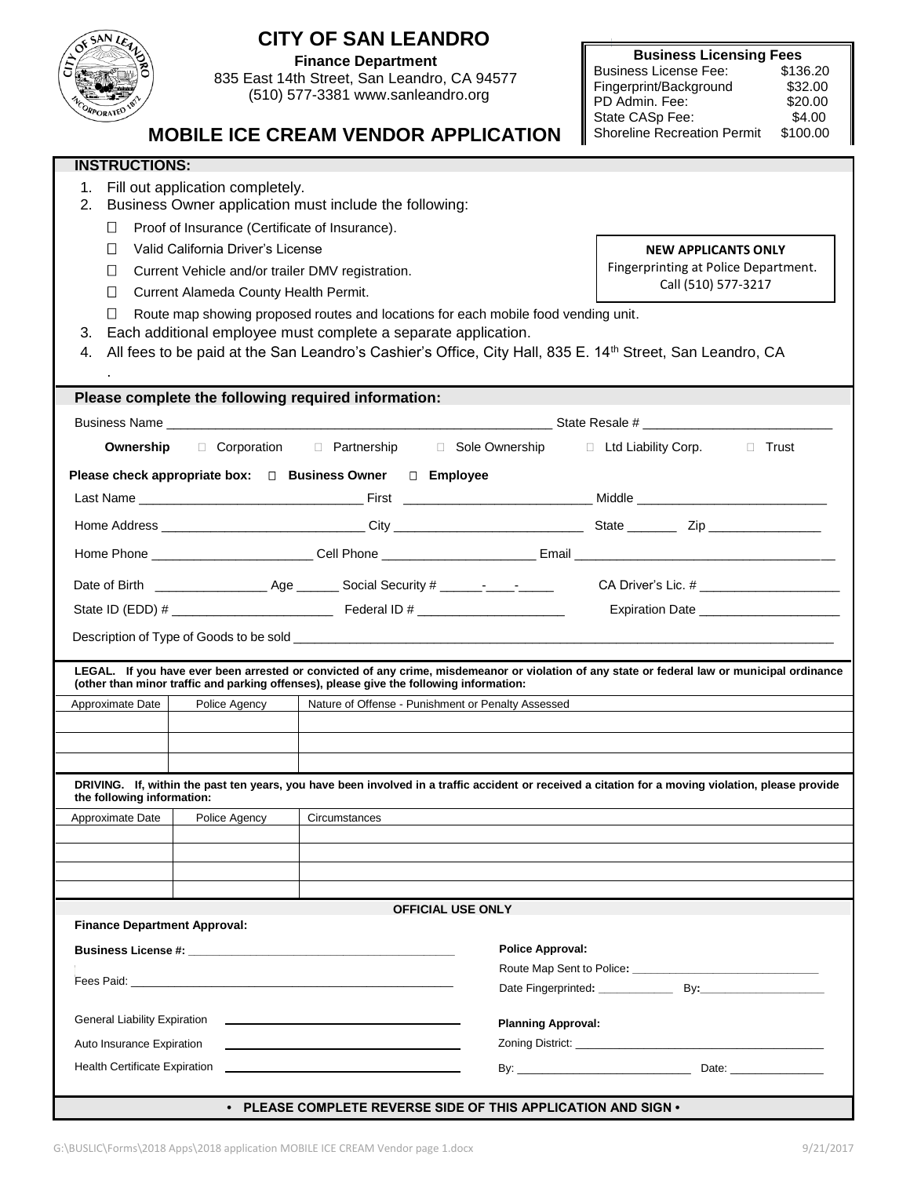| <b>CITY OF SAN LEANDRO</b><br>OF SAN LE                                                                                                                                                                                                                   |                                                                               |  |  |
|-----------------------------------------------------------------------------------------------------------------------------------------------------------------------------------------------------------------------------------------------------------|-------------------------------------------------------------------------------|--|--|
| $\overleftrightarrow{c}$<br><b>Finance Department</b>                                                                                                                                                                                                     | <b>Business Licensing Fees</b>                                                |  |  |
| 835 East 14th Street, San Leandro, CA 94577                                                                                                                                                                                                               | <b>Business License Fee:</b><br>\$136.20<br>Fingerprint/Background<br>\$32.00 |  |  |
| (510) 577-3381 www.sanleandro.org                                                                                                                                                                                                                         | PD Admin, Fee:<br>\$20.00                                                     |  |  |
| RPORATED                                                                                                                                                                                                                                                  | State CASp Fee:<br>\$4.00                                                     |  |  |
| <b>MOBILE ICE CREAM VENDOR APPLICATION</b><br><b>Shoreline Recreation Permit</b><br>\$100.00                                                                                                                                                              |                                                                               |  |  |
| <b>INSTRUCTIONS:</b>                                                                                                                                                                                                                                      |                                                                               |  |  |
| 1. Fill out application completely.<br>2.<br>Business Owner application must include the following:                                                                                                                                                       |                                                                               |  |  |
| Proof of Insurance (Certificate of Insurance).<br>$\Box$                                                                                                                                                                                                  |                                                                               |  |  |
| Valid California Driver's License<br>П                                                                                                                                                                                                                    | <b>NEW APPLICANTS ONLY</b>                                                    |  |  |
| Current Vehicle and/or trailer DMV registration.<br>$\mathsf{I}$                                                                                                                                                                                          | Fingerprinting at Police Department.<br>Call (510) 577-3217                   |  |  |
| П<br>Current Alameda County Health Permit.                                                                                                                                                                                                                |                                                                               |  |  |
| $\Box$<br>Route map showing proposed routes and locations for each mobile food vending unit.                                                                                                                                                              |                                                                               |  |  |
| Each additional employee must complete a separate application.<br>3.<br>All fees to be paid at the San Leandro's Cashier's Office, City Hall, 835 E. 14 <sup>th</sup> Street, San Leandro, CA                                                             |                                                                               |  |  |
| 4.                                                                                                                                                                                                                                                        |                                                                               |  |  |
| Please complete the following required information:                                                                                                                                                                                                       |                                                                               |  |  |
|                                                                                                                                                                                                                                                           |                                                                               |  |  |
| Ownership □ Corporation □ Partnership □ Sole Ownership □ Ltd Liability Corp. □ Trust                                                                                                                                                                      |                                                                               |  |  |
|                                                                                                                                                                                                                                                           |                                                                               |  |  |
| Please check appropriate box: □ Business Owner □ Employee                                                                                                                                                                                                 |                                                                               |  |  |
|                                                                                                                                                                                                                                                           |                                                                               |  |  |
|                                                                                                                                                                                                                                                           |                                                                               |  |  |
|                                                                                                                                                                                                                                                           |                                                                               |  |  |
|                                                                                                                                                                                                                                                           |                                                                               |  |  |
| Expiration Date ______________________                                                                                                                                                                                                                    |                                                                               |  |  |
|                                                                                                                                                                                                                                                           |                                                                               |  |  |
| LEGAL. If you have ever been arrested or convicted of any crime, misdemeanor or violation of any state or federal law or municipal ordinance                                                                                                              |                                                                               |  |  |
| (other than minor traffic and parking offenses), please give the following information:                                                                                                                                                                   |                                                                               |  |  |
| Approximate Date<br>Police Agency<br>Nature of Offense - Punishment or Penalty Assessed                                                                                                                                                                   |                                                                               |  |  |
|                                                                                                                                                                                                                                                           |                                                                               |  |  |
|                                                                                                                                                                                                                                                           |                                                                               |  |  |
| DRIVING. If, within the past ten years, you have been involved in a traffic accident or received a citation for a moving violation, please provide<br>the following information:                                                                          |                                                                               |  |  |
| Approximate Date<br>Police Agency<br>Circumstances                                                                                                                                                                                                        |                                                                               |  |  |
|                                                                                                                                                                                                                                                           |                                                                               |  |  |
|                                                                                                                                                                                                                                                           |                                                                               |  |  |
|                                                                                                                                                                                                                                                           |                                                                               |  |  |
| <b>OFFICIAL USE ONLY</b>                                                                                                                                                                                                                                  |                                                                               |  |  |
| <b>Finance Department Approval:</b>                                                                                                                                                                                                                       |                                                                               |  |  |
| <b>Police Approval:</b><br>Business License #: Network and the set of the set of the set of the set of the set of the set of the set of the set of the set of the set of the set of the set of the set of the set of the set of the set of the set of the |                                                                               |  |  |
|                                                                                                                                                                                                                                                           |                                                                               |  |  |
|                                                                                                                                                                                                                                                           |                                                                               |  |  |
| <b>General Liability Expiration</b><br><b>Planning Approval:</b>                                                                                                                                                                                          |                                                                               |  |  |
| Auto Insurance Expiration                                                                                                                                                                                                                                 |                                                                               |  |  |
| Health Certificate Expiration                                                                                                                                                                                                                             |                                                                               |  |  |
| • PLEASE COMPLETE REVERSE SIDE OF THIS APPLICATION AND SIGN •                                                                                                                                                                                             |                                                                               |  |  |